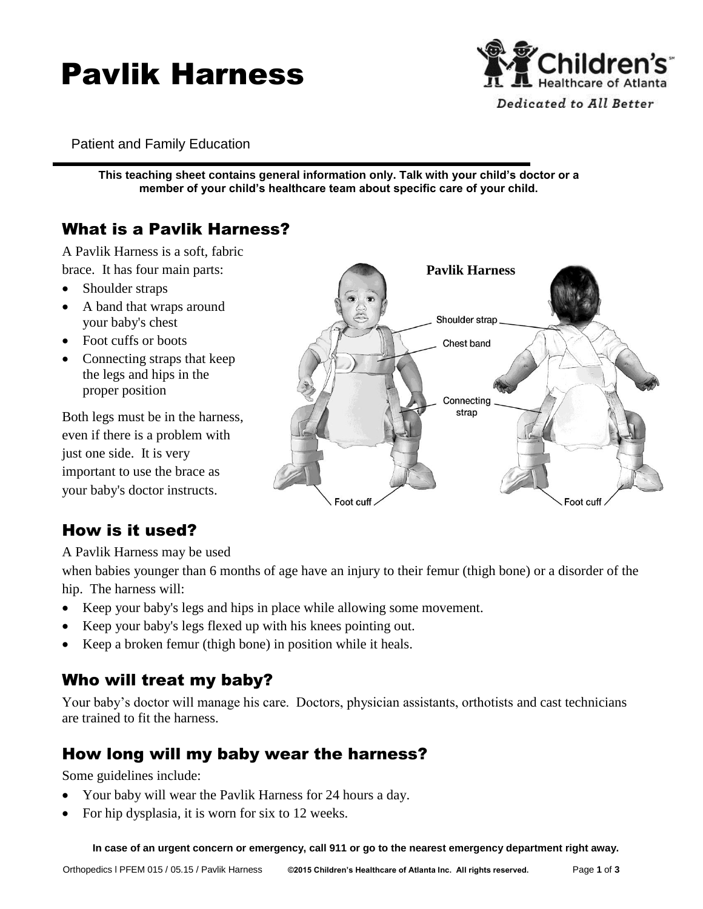# Pavlik Harness



Patient and Family Education

**This teaching sheet contains general information only. Talk with your child's doctor or a member of your child's healthcare team about specific care of your child.**

# What is a Pavlik Harness?

A Pavlik Harness is a soft, fabric brace. It has four main parts:

- Shoulder straps
- A band that wraps around your baby's chest
- Foot cuffs or boots
- Connecting straps that keep the legs and hips in the proper position

Both legs must be in the harness, even if there is a problem with just one side. It is very important to use the brace as your baby's doctor instructs.

## How is it used?

A Pavlik Harness may be used

when babies younger than 6 months of age have an injury to their femur (thigh bone) or a disorder of the hip. The harness will:

- Keep your baby's legs and hips in place while allowing some movement.
- Keep your baby's legs flexed up with his knees pointing out.
- Keep a broken femur (thigh bone) in position while it heals.

## Who will treat my baby?

Your baby's doctor will manage his care. Doctors, physician assistants, orthotists and cast technicians are trained to fit the harness.

## How long will my baby wear the harness?

Some guidelines include:

- Your baby will wear the Pavlik Harness for 24 hours a day.
- For hip dysplasia, it is worn for six to 12 weeks.

 **In case of an urgent concern or emergency, call 911 or go to the nearest emergency department right away.**

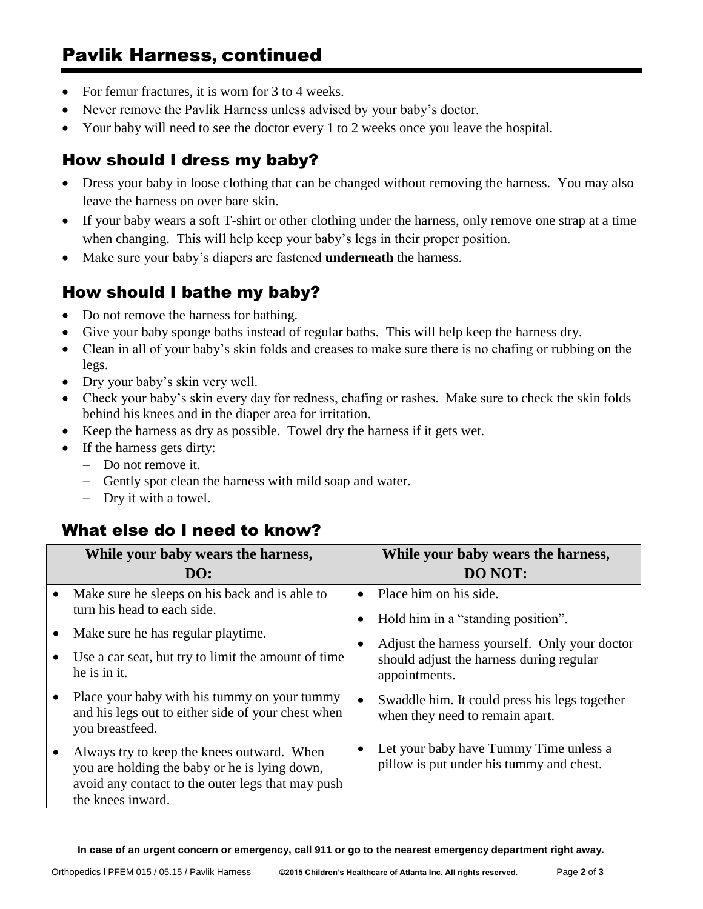- For femur fractures, it is worn for 3 to 4 weeks.
- Never remove the Pavlik Harness unless advised by your baby's doctor.
- Your baby will need to see the doctor every 1 to 2 weeks once you leave the hospital.

#### How should I dress my baby?

- Dress your baby in loose clothing that can be changed without removing the harness. You may also leave the harness on over bare skin.
- If your baby wears a soft T-shirt or other clothing under the harness, only remove one strap at a time when changing. This will help keep your baby's legs in their proper position.
- Make sure your baby's diapers are fastened **underneath** the harness.

## How should I bathe my baby?

- Do not remove the harness for bathing.
- Give your baby sponge baths instead of regular baths. This will help keep the harness dry.
- Clean in all of your baby's skin folds and creases to make sure there is no chafing or rubbing on the legs.
- Dry your baby's skin very well.
- Check your baby's skin every day for redness, chafing or rashes. Make sure to check the skin folds behind his knees and in the diaper area for irritation.
- Keep the harness as dry as possible. Towel dry the harness if it gets wet.
- If the harness gets dirty:
	- Do not remove it.
	- Gently spot clean the harness with mild soap and water.
	- Dry it with a towel.

#### What else do I need to know?

|           | While your baby wears the harness,                                                                                                                                    | While your baby wears the harness,                                                                                                                                                      |
|-----------|-----------------------------------------------------------------------------------------------------------------------------------------------------------------------|-----------------------------------------------------------------------------------------------------------------------------------------------------------------------------------------|
|           | DO:                                                                                                                                                                   | <b>DO NOT:</b>                                                                                                                                                                          |
| $\bullet$ | Make sure he sleeps on his back and is able to<br>turn his head to each side.                                                                                         | Place him on his side.<br>$\bullet$<br>Hold him in a "standing position".<br>Adjust the harness yourself. Only your doctor<br>should adjust the harness during regular<br>appointments. |
|           | Make sure he has regular playtime.                                                                                                                                    |                                                                                                                                                                                         |
|           | Use a car seat, but try to limit the amount of time<br>he is in it.                                                                                                   |                                                                                                                                                                                         |
|           | Place your baby with his tummy on your tummy<br>and his legs out to either side of your chest when<br>you breastfeed.                                                 | Swaddle him. It could press his legs together<br>$\bullet$<br>when they need to remain apart.                                                                                           |
|           | Always try to keep the knees outward. When<br>you are holding the baby or he is lying down,<br>avoid any contact to the outer legs that may push<br>the knees inward. | Let your baby have Tummy Time unless a<br>pillow is put under his tummy and chest.                                                                                                      |

**In case of an urgent concern or emergency, call 911 or go to the nearest emergency department right away.**